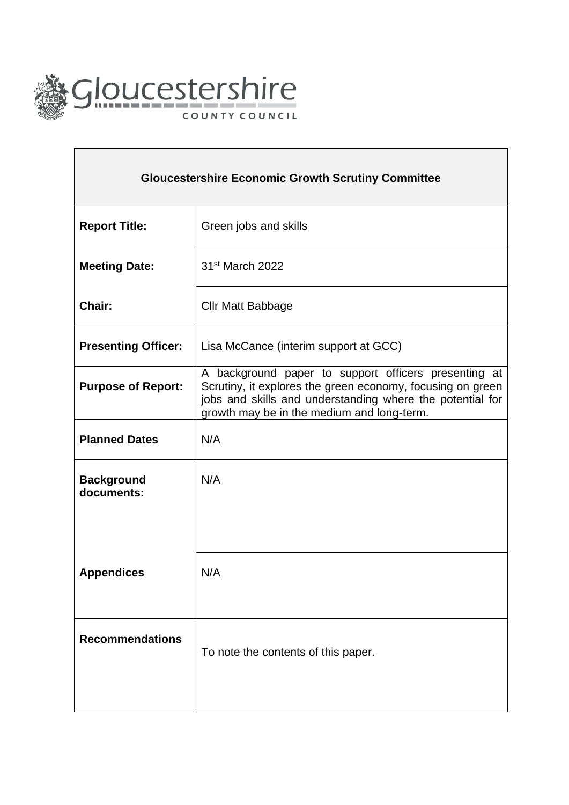

 $\Gamma$ 

| <b>Gloucestershire Economic Growth Scrutiny Committee</b> |                                                                                                                                                                                                                               |
|-----------------------------------------------------------|-------------------------------------------------------------------------------------------------------------------------------------------------------------------------------------------------------------------------------|
| <b>Report Title:</b>                                      | Green jobs and skills                                                                                                                                                                                                         |
| <b>Meeting Date:</b>                                      | 31 <sup>st</sup> March 2022                                                                                                                                                                                                   |
| Chair:                                                    | <b>Cllr Matt Babbage</b>                                                                                                                                                                                                      |
| <b>Presenting Officer:</b>                                | Lisa McCance (interim support at GCC)                                                                                                                                                                                         |
| <b>Purpose of Report:</b>                                 | A background paper to support officers presenting at<br>Scrutiny, it explores the green economy, focusing on green<br>jobs and skills and understanding where the potential for<br>growth may be in the medium and long-term. |
| <b>Planned Dates</b>                                      | N/A                                                                                                                                                                                                                           |
| <b>Background</b><br>documents:                           | N/A                                                                                                                                                                                                                           |
| <b>Appendices</b>                                         | N/A                                                                                                                                                                                                                           |
| <b>Recommendations</b>                                    | To note the contents of this paper.                                                                                                                                                                                           |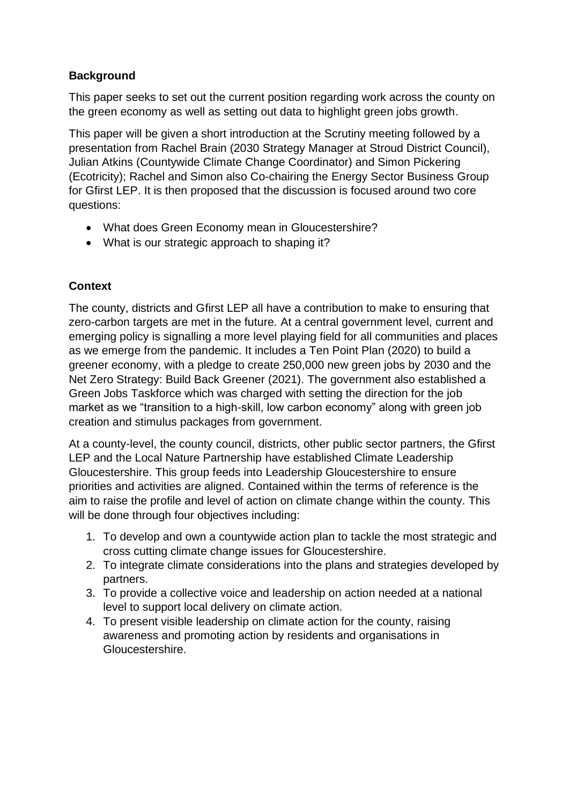# **Background**

This paper seeks to set out the current position regarding work across the county on the green economy as well as setting out data to highlight green jobs growth.

This paper will be given a short introduction at the Scrutiny meeting followed by a presentation from Rachel Brain (2030 Strategy Manager at Stroud District Council), Julian Atkins (Countywide Climate Change Coordinator) and Simon Pickering (Ecotricity); Rachel and Simon also Co-chairing the Energy Sector Business Group for Gfirst LEP. It is then proposed that the discussion is focused around two core questions:

- What does Green Economy mean in Gloucestershire?
- What is our strategic approach to shaping it?

## **Context**

The county, districts and Gfirst LEP all have a contribution to make to ensuring that zero-carbon targets are met in the future. At a central government level, current and emerging policy is signalling a more level playing field for all communities and places as we emerge from the pandemic. It includes a Ten Point Plan (2020) to build a greener economy, with a pledge to create 250,000 new green jobs by 2030 and the Net Zero Strategy: Build Back Greener (2021). The government also established a Green Jobs Taskforce which was charged with setting the direction for the job market as we "transition to a high-skill, low carbon economy" along with green job creation and stimulus packages from government.

At a county-level, the county council, districts, other public sector partners, the Gfirst LEP and the Local Nature Partnership have established Climate Leadership Gloucestershire. This group feeds into Leadership Gloucestershire to ensure priorities and activities are aligned. Contained within the terms of reference is the aim to raise the profile and level of action on climate change within the county. This will be done through four objectives including:

- 1. To develop and own a countywide action plan to tackle the most strategic and cross cutting climate change issues for Gloucestershire.
- 2. To integrate climate considerations into the plans and strategies developed by partners.
- 3. To provide a collective voice and leadership on action needed at a national level to support local delivery on climate action.
- 4. To present visible leadership on climate action for the county, raising awareness and promoting action by residents and organisations in Gloucestershire.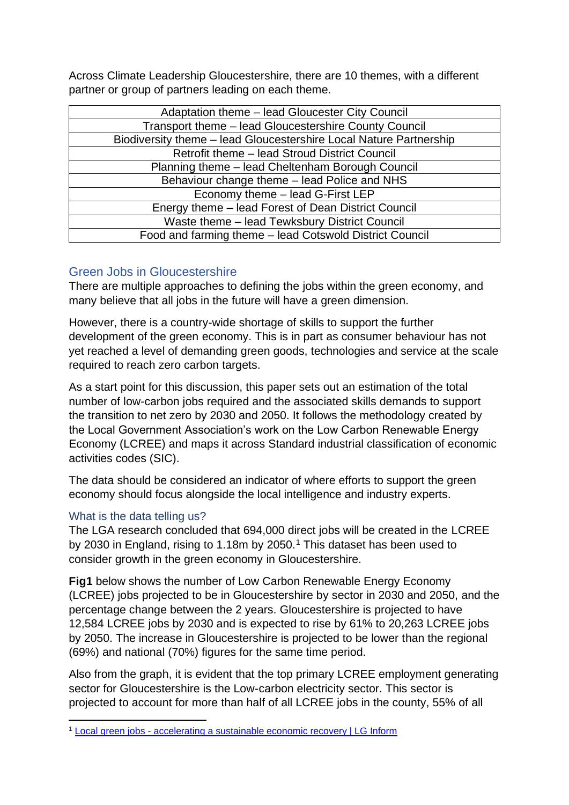Across Climate Leadership Gloucestershire, there are 10 themes, with a different partner or group of partners leading on each theme.

| Adaptation theme – lead Gloucester City Council                    |  |
|--------------------------------------------------------------------|--|
| Transport theme - lead Gloucestershire County Council              |  |
| Biodiversity theme - lead Gloucestershire Local Nature Partnership |  |
| Retrofit theme - lead Stroud District Council                      |  |
| Planning theme - lead Cheltenham Borough Council                   |  |
| Behaviour change theme - lead Police and NHS                       |  |
| Economy theme - lead G-First LEP                                   |  |
| Energy theme – lead Forest of Dean District Council                |  |
| Waste theme - lead Tewksbury District Council                      |  |
| Food and farming theme - lead Cotswold District Council            |  |

## Green Jobs in Gloucestershire

There are multiple approaches to defining the jobs within the green economy, and many believe that all jobs in the future will have a green dimension.

However, there is a country-wide shortage of skills to support the further development of the green economy. This is in part as consumer behaviour has not yet reached a level of demanding green goods, technologies and service at the scale required to reach zero carbon targets.

As a start point for this discussion, this paper sets out an estimation of the total number of low-carbon jobs required and the associated skills demands to support the transition to net zero by 2030 and 2050. It follows the methodology created by the Local Government Association's work on the Low Carbon Renewable Energy Economy (LCREE) and maps it across Standard industrial classification of economic activities codes (SIC).

The data should be considered an indicator of where efforts to support the green economy should focus alongside the local intelligence and industry experts.

## What is the data telling us?

The LGA research concluded that 694,000 direct jobs will be created in the LCREE by 2030 in England, rising to 1.18m by 2050.<sup>1</sup> This dataset has been used to consider growth in the green economy in Gloucestershire.

**Fig1** below shows the number of Low Carbon Renewable Energy Economy (LCREE) jobs projected to be in Gloucestershire by sector in 2030 and 2050, and the percentage change between the 2 years. Gloucestershire is projected to have 12,584 LCREE jobs by 2030 and is expected to rise by 61% to 20,263 LCREE jobs by 2050. The increase in Gloucestershire is projected to be lower than the regional (69%) and national (70%) figures for the same time period.

Also from the graph, it is evident that the top primary LCREE employment generating sector for Gloucestershire is the Low-carbon electricity sector. This sector is projected to account for more than half of all LCREE jobs in the county, 55% of all

<sup>1</sup> Local green jobs - [accelerating a sustainable economic recovery | LG Inform](https://lginform.local.gov.uk/reports/view/lga-research/estimated-total-number-of-direct-jobs-in-low-carbon-and-renewable-energy-sector?mod-area=E09000006&mod-group=AllBoroughInRegion_London&mod-type=namedComparisonGroup)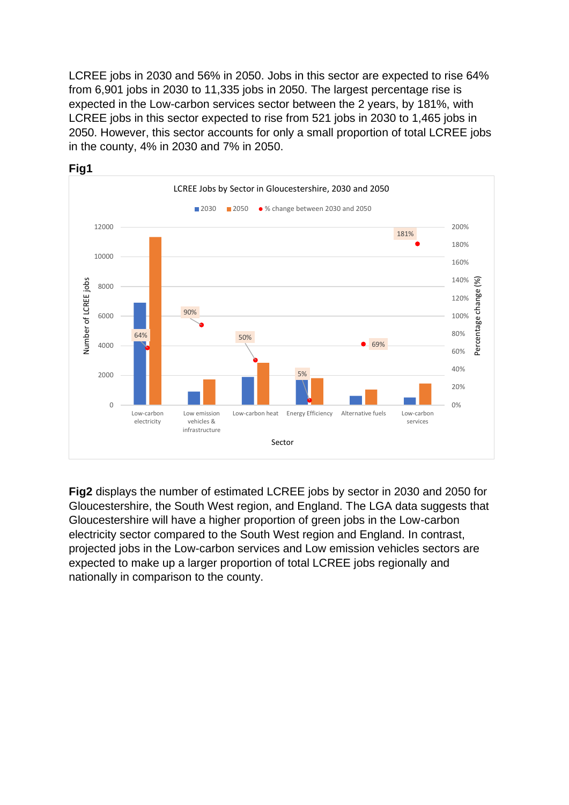LCREE jobs in 2030 and 56% in 2050. Jobs in this sector are expected to rise 64% from 6,901 jobs in 2030 to 11,335 jobs in 2050. The largest percentage rise is expected in the Low-carbon services sector between the 2 years, by 181%, with LCREE jobs in this sector expected to rise from 521 jobs in 2030 to 1,465 jobs in 2050. However, this sector accounts for only a small proportion of total LCREE jobs in the county, 4% in 2030 and 7% in 2050.



**Fig2** displays the number of estimated LCREE jobs by sector in 2030 and 2050 for Gloucestershire, the South West region, and England. The LGA data suggests that Gloucestershire will have a higher proportion of green jobs in the Low-carbon electricity sector compared to the South West region and England. In contrast, projected jobs in the Low-carbon services and Low emission vehicles sectors are expected to make up a larger proportion of total LCREE jobs regionally and nationally in comparison to the county.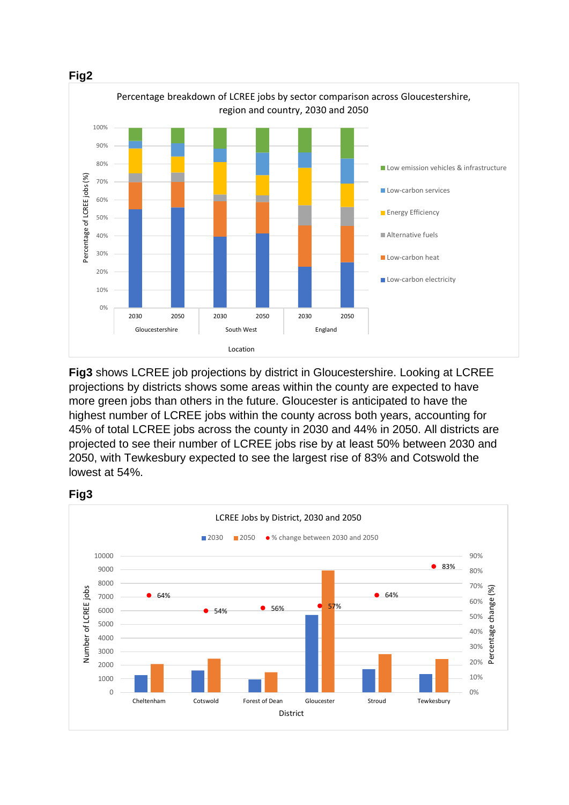

**Fig3** shows LCREE job projections by district in Gloucestershire. Looking at LCREE projections by districts shows some areas within the county are expected to have more green jobs than others in the future. Gloucester is anticipated to have the highest number of LCREE jobs within the county across both years, accounting for 45% of total LCREE jobs across the county in 2030 and 44% in 2050. All districts are projected to see their number of LCREE jobs rise by at least 50% between 2030 and 2050, with Tewkesbury expected to see the largest rise of 83% and Cotswold the lowest at 54%.



Percentage change (%)

Percentage

 $(%)$ 

ge chanj

**Fig3**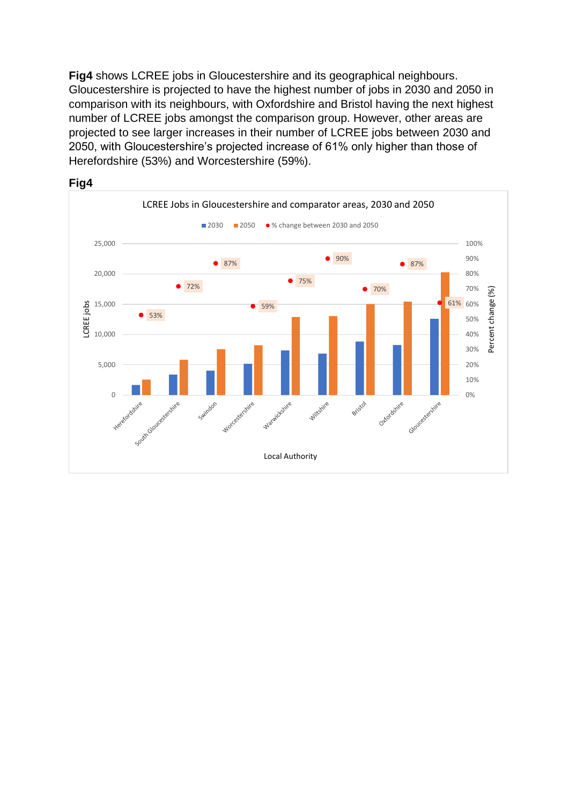**Fig4** shows LCREE jobs in Gloucestershire and its geographical neighbours. Gloucestershire is projected to have the highest number of jobs in 2030 and 2050 in comparison with its neighbours, with Oxfordshire and Bristol having the next highest number of LCREE jobs amongst the comparison group. However, other areas are projected to see larger increases in their number of LCREE jobs between 2030 and 2050, with Gloucestershire's projected increase of 61% only higher than those of Herefordshire (53%) and Worcestershire (59%).



#### **Fig4**